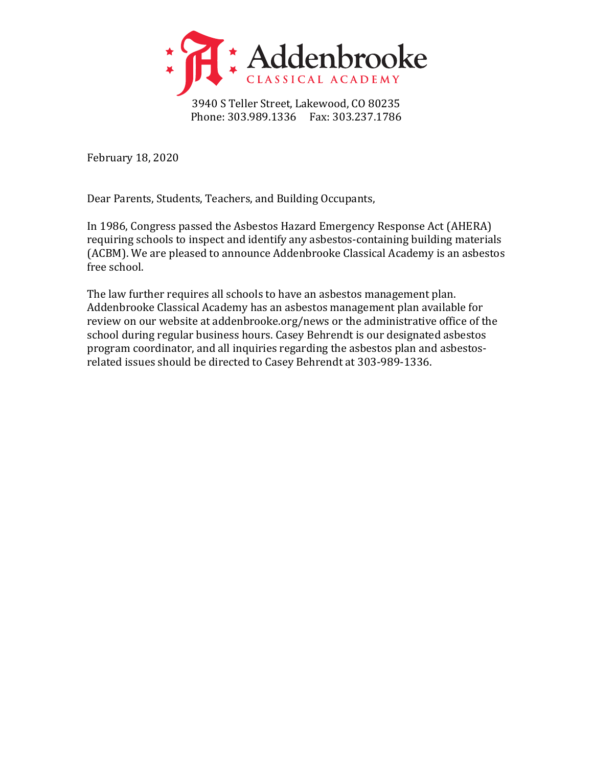

3940 S Teller Street, Lakewood, CO 80235 Phone: 303.989.1336 Fax: 303.237.1786

February 18, 2020

Dear Parents, Students, Teachers, and Building Occupants,

In 1986, Congress passed the Asbestos Hazard Emergency Response Act (AHERA) requiring schools to inspect and identify any asbestos-containing building materials (ACBM). We are pleased to announce Addenbrooke Classical Academy is an asbestos free school.

The law further requires all schools to have an asbestos management plan. Addenbrooke Classical Academy has an asbestos management plan available for review on our website at addenbrooke.org/news or the administrative office of the school during regular business hours. Casey Behrendt is our designated asbestos program coordinator, and all inquiries regarding the asbestos plan and asbestosrelated issues should be directed to Casey Behrendt at 303-989-1336.